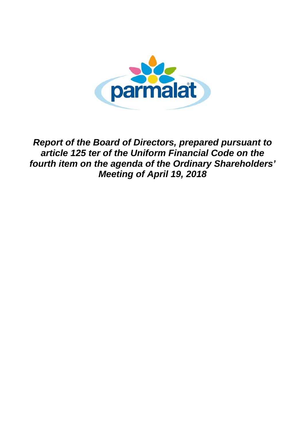

*Report of the Board of Directors, prepared pursuant to article 125 ter of the Uniform Financial Code on the fourth item on the agenda of the Ordinary Shareholders' Meeting of April 19, 2018*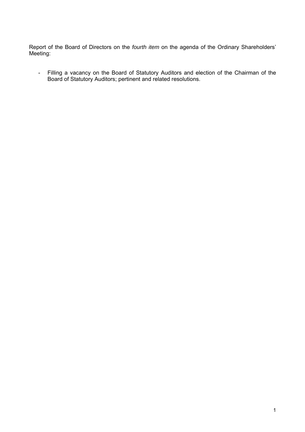Report of the Board of Directors on the *fourth item* on the agenda of the Ordinary Shareholders' Meeting:

- Filling a vacancy on the Board of Statutory Auditors and election of the Chairman of the Board of Statutory Auditors; pertinent and related resolutions.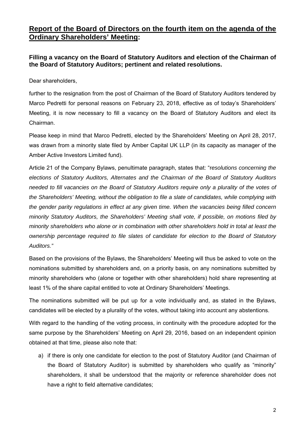## **Report of the Board of Directors on the fourth item on the agenda of the Ordinary Shareholders' Meeting:**

## **Filling a vacancy on the Board of Statutory Auditors and election of the Chairman of the Board of Statutory Auditors; pertinent and related resolutions.**

Dear shareholders,

further to the resignation from the post of Chairman of the Board of Statutory Auditors tendered by Marco Pedretti for personal reasons on February 23, 2018, effective as of today's Shareholders' Meeting, it is now necessary to fill a vacancy on the Board of Statutory Auditors and elect its Chairman.

Please keep in mind that Marco Pedretti, elected by the Shareholders' Meeting on April 28, 2017, was drawn from a minority slate filed by Amber Capital UK LLP (in its capacity as manager of the Amber Active Investors Limited fund).

Article 21 of the Company Bylaws, penultimate paragraph, states that: "r*esolutions concerning the elections of Statutory Auditors, Alternates and the Chairman of the Board of Statutory Auditors needed to fill vacancies on the Board of Statutory Auditors require only a plurality of the votes of the Shareholders' Meeting, without the obligation to file a slate of candidates, while complying with the gender parity regulations in effect at any given time. When the vacancies being filled concern minority Statutory Auditors, the Shareholders' Meeting shall vote, if possible, on motions filed by minority shareholders who alone or in combination with other shareholders hold in total at least the ownership percentage required to file slates of candidate for election to the Board of Statutory Auditors."*

Based on the provisions of the Bylaws, the Shareholders' Meeting will thus be asked to vote on the nominations submitted by shareholders and, on a priority basis, on any nominations submitted by minority shareholders who (alone or together with other shareholders) hold share representing at least 1% of the share capital entitled to vote at Ordinary Shareholders' Meetings.

The nominations submitted will be put up for a vote individually and, as stated in the Bylaws, candidates will be elected by a plurality of the votes, without taking into account any abstentions.

With regard to the handling of the voting process, in continuity with the procedure adopted for the same purpose by the Shareholders' Meeting on April 29, 2016, based on an independent opinion obtained at that time, please also note that:

a) if there is only one candidate for election to the post of Statutory Auditor (and Chairman of the Board of Statutory Auditor) is submitted by shareholders who qualify as "minority" shareholders, it shall be understood that the majority or reference shareholder does not have a right to field alternative candidates;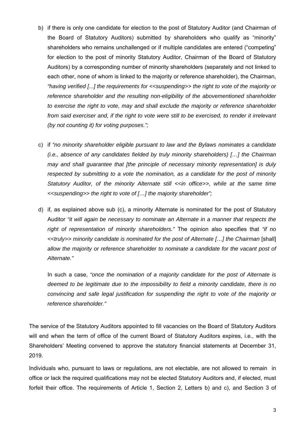- b) if there is only one candidate for election to the post of Statutory Auditor (and Chairman of the Board of Statutory Auditors) submitted by shareholders who qualify as "minority" shareholders who remains unchallenged or if multiple candidates are entered ("competing" for election to the post of minority Statutory Auditor, Chairman of the Board of Statutory Auditors) by a corresponding number of minority shareholders (separately and not linked to each other, none of whom is linked to the majority or reference shareholder), the Chairman, *"having verified [...] the requirements for <<suspending>> the right to vote of the majority or reference shareholder and the resulting non-eligibility of the abovementioned shareholder to exercise the right to vote, may and shall exclude the majority or reference shareholder*  from said exerciser and, if the right to vote were still to be exercised, to render it irrelevant *(by not counting it) for voting purposes.";*
- c) if *"no minority shareholder eligible pursuant to law and the Bylaws nominates a candidate (i.e., absence of any candidates fielded by truly minority shareholders) […] the Chairman may and shall guarantee that [the principle of necessary minority representation] is duly respected by submitting to a vote the nomination, as a candidate for the post of minority Statutory Auditor, of the minority Alternate still <<in office>>, while at the same time <<suspending>> the right to vote of […] the majority shareholder";*
- d) if, as explained above sub (c), a minority Alternate is nominated for the post of Statutory Auditor *"it will again be necessary to nominate an Alternate in a manner that respects the right of representation of minority shareholders."* The opinion also specifies that *"if no <<truly>> minority candidate is nominated for the post of Alternate […] the Chairman* [shall] *allow the majority or reference shareholder to nominate a candidate for the vacant post of Alternate."*

In such a case, *"once the nomination of a majority candidate for the post of Alternate is deemed to be legitimate due to the impossibility to field a minority candidate, there is no convincing and safe legal justification for suspending the right to vote of the majority or reference shareholder."* 

The service of the Statutory Auditors appointed to fill vacancies on the Board of Statutory Auditors will end when the term of office of the current Board of Statutory Auditors expires, i.e., with the Shareholders' Meeting convened to approve the statutory financial statements at December 31, 2019.

Individuals who, pursuant to laws or regulations, are not electable, are not allowed to remain in office or lack the required qualifications may not be elected Statutory Auditors and, if elected, must forfeit their office. The requirements of Article 1, Section 2, Letters b) and c), and Section 3 of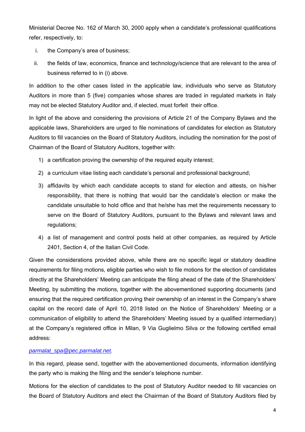Ministerial Decree No. 162 of March 30, 2000 apply when a candidate's professional qualifications refer, respectively, to:

- i. the Company's area of business;
- ii. the fields of law, economics, finance and technology/science that are relevant to the area of business referred to in (i) above.

In addition to the other cases listed in the applicable law, individuals who serve as Statutory Auditors in more than 5 (five) companies whose shares are traded in regulated markets in Italy may not be elected Statutory Auditor and, if elected, must forfeit their office.

In light of the above and considering the provisions of Article 21 of the Company Bylaws and the applicable laws, Shareholders are urged to file nominations of candidates for election as Statutory Auditors to fill vacancies on the Board of Statutory Auditors, including the nomination for the post of Chairman of the Board of Statutory Auditors, together with:

- 1) a certification proving the ownership of the required equity interest:
- 2) a curriculum vitae listing each candidate's personal and professional background;
- 3) affidavits by which each candidate accepts to stand for election and attests, on his/her responsibility, that there is nothing that would bar the candidate's election or make the candidate unsuitable to hold office and that he/she has met the requirements necessary to serve on the Board of Statutory Auditors, pursuant to the Bylaws and relevant laws and regulations;
- 4) a list of management and control posts held at other companies, as required by Article 2401, Section 4, of the Italian Civil Code.

Given the considerations provided above, while there are no specific legal or statutory deadline requirements for filing motions, eligible parties who wish to file motions for the election of candidates directly at the Shareholders' Meeting can anticipate the filing ahead of the date of the Shareholders' Meeting, by submitting the motions, together with the abovementioned supporting documents (and ensuring that the required certification proving their ownership of an interest in the Company's share capital on the record date of April 10, 2018 listed on the Notice of Shareholders' Meeting or a communication of eligibility to attend the Shareholders' Meeting issued by a qualified intermediary) at the Company's registered office in Milan, 9 Via Guglielmo Silva or the following certified email address:

## *parmalat\_spa@pec.parmalat.net.*

In this regard, please send, together with the abovementioned documents, information identifying the party who is making the filing and the sender's telephone number.

Motions for the election of candidates to the post of Statutory Auditor needed to fill vacancies on the Board of Statutory Auditors and elect the Chairman of the Board of Statutory Auditors filed by